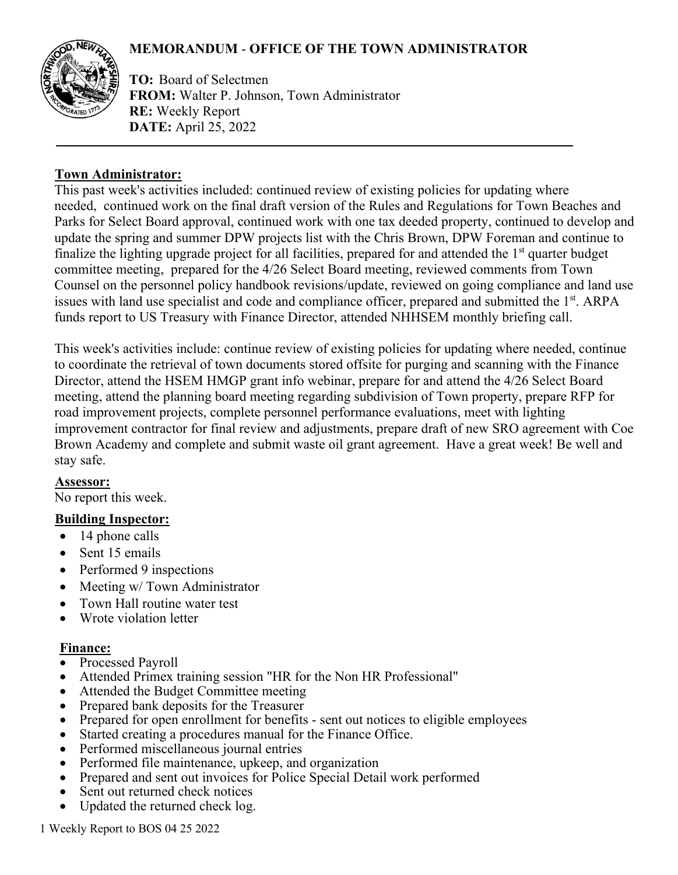# **MEMORANDUM** - **OFFICE OF THE TOWN ADMINISTRATOR**



**TO:** Board of Selectmen **FROM:** Walter P. Johnson, Town Administrator **RE:** Weekly Report **DATE:** April 25, 2022

# **Town Administrator:**

This past week's activities included: continued review of existing policies for updating where needed, continued work on the final draft version of the Rules and Regulations for Town Beaches and Parks for Select Board approval, continued work with one tax deeded property, continued to develop and update the spring and summer DPW projects list with the Chris Brown, DPW Foreman and continue to finalize the lighting upgrade project for all facilities, prepared for and attended the 1<sup>st</sup> quarter budget committee meeting, prepared for the 4/26 Select Board meeting, reviewed comments from Town Counsel on the personnel policy handbook revisions/update, reviewed on going compliance and land use issues with land use specialist and code and compliance officer, prepared and submitted the 1<sup>st</sup>. ARPA funds report to US Treasury with Finance Director, attended NHHSEM monthly briefing call.

This week's activities include: continue review of existing policies for updating where needed, continue to coordinate the retrieval of town documents stored offsite for purging and scanning with the Finance Director, attend the HSEM HMGP grant info webinar, prepare for and attend the 4/26 Select Board meeting, attend the planning board meeting regarding subdivision of Town property, prepare RFP for road improvement projects, complete personnel performance evaluations, meet with lighting improvement contractor for final review and adjustments, prepare draft of new SRO agreement with Coe Brown Academy and complete and submit waste oil grant agreement. Have a great week! Be well and stay safe.

# **Assessor:**

No report this week.

# **Building Inspector:**

- 14 phone calls
- Sent 15 emails
- Performed 9 inspections
- Meeting w/ Town Administrator
- Town Hall routine water test
- Wrote violation letter

## **Finance:**

- Processed Payroll
- Attended Primex training session "HR for the Non HR Professional"
- Attended the Budget Committee meeting
- Prepared bank deposits for the Treasurer
- Prepared for open enrollment for benefits sent out notices to eligible employees
- Started creating a procedures manual for the Finance Office.
- Performed miscellaneous journal entries
- Performed file maintenance, upkeep, and organization
- Prepared and sent out invoices for Police Special Detail work performed
- Sent out returned check notices
- Updated the returned check log.

1 Weekly Report to BOS 04 25 2022